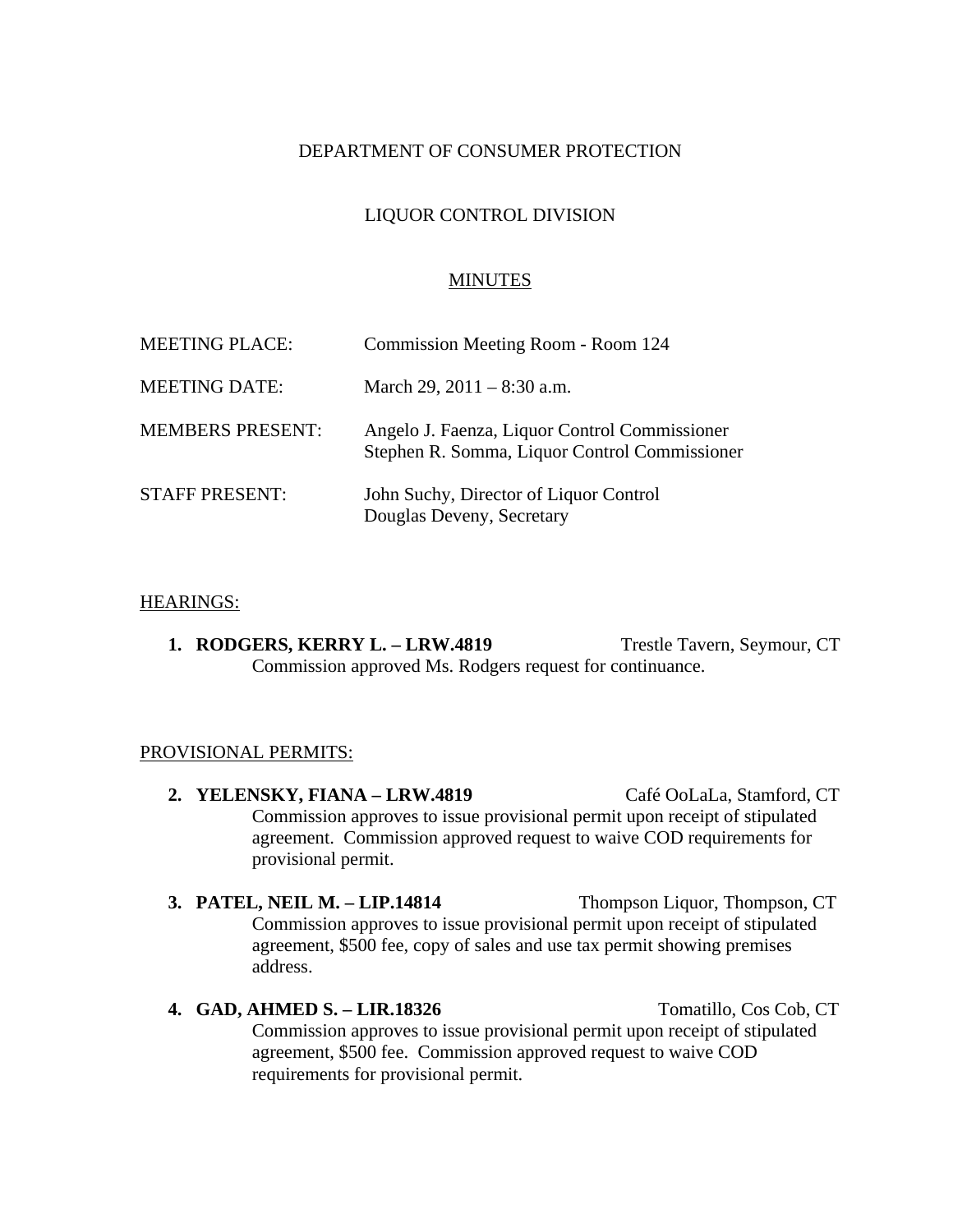# DEPARTMENT OF CONSUMER PROTECTION

# LIQUOR CONTROL DIVISION

### MINUTES

| <b>MEETING PLACE:</b>   | Commission Meeting Room - Room 124                                                             |
|-------------------------|------------------------------------------------------------------------------------------------|
| <b>MEETING DATE:</b>    | March 29, $2011 - 8:30$ a.m.                                                                   |
| <b>MEMBERS PRESENT:</b> | Angelo J. Faenza, Liquor Control Commissioner<br>Stephen R. Somma, Liquor Control Commissioner |
| <b>STAFF PRESENT:</b>   | John Suchy, Director of Liquor Control<br>Douglas Deveny, Secretary                            |

#### HEARINGS:

**1. RODGERS, KERRY L. – LRW.4819** Trestle Tavern, Seymour, CT Commission approved Ms. Rodgers request for continuance.

#### PROVISIONAL PERMITS:

- **2. YELENSKY, FIANA LRW.4819** Café OoLaLa, Stamford, CT Commission approves to issue provisional permit upon receipt of stipulated agreement. Commission approved request to waive COD requirements for provisional permit.
- **3. PATEL, NEIL M. LIP.14814** Thompson Liquor, Thompson, CT Commission approves to issue provisional permit upon receipt of stipulated agreement, \$500 fee, copy of sales and use tax permit showing premises address.

## **4. GAD, AHMED S. – LIR.18326** Tomatillo, Cos Cob, CT Commission approves to issue provisional permit upon receipt of stipulated agreement, \$500 fee. Commission approved request to waive COD requirements for provisional permit.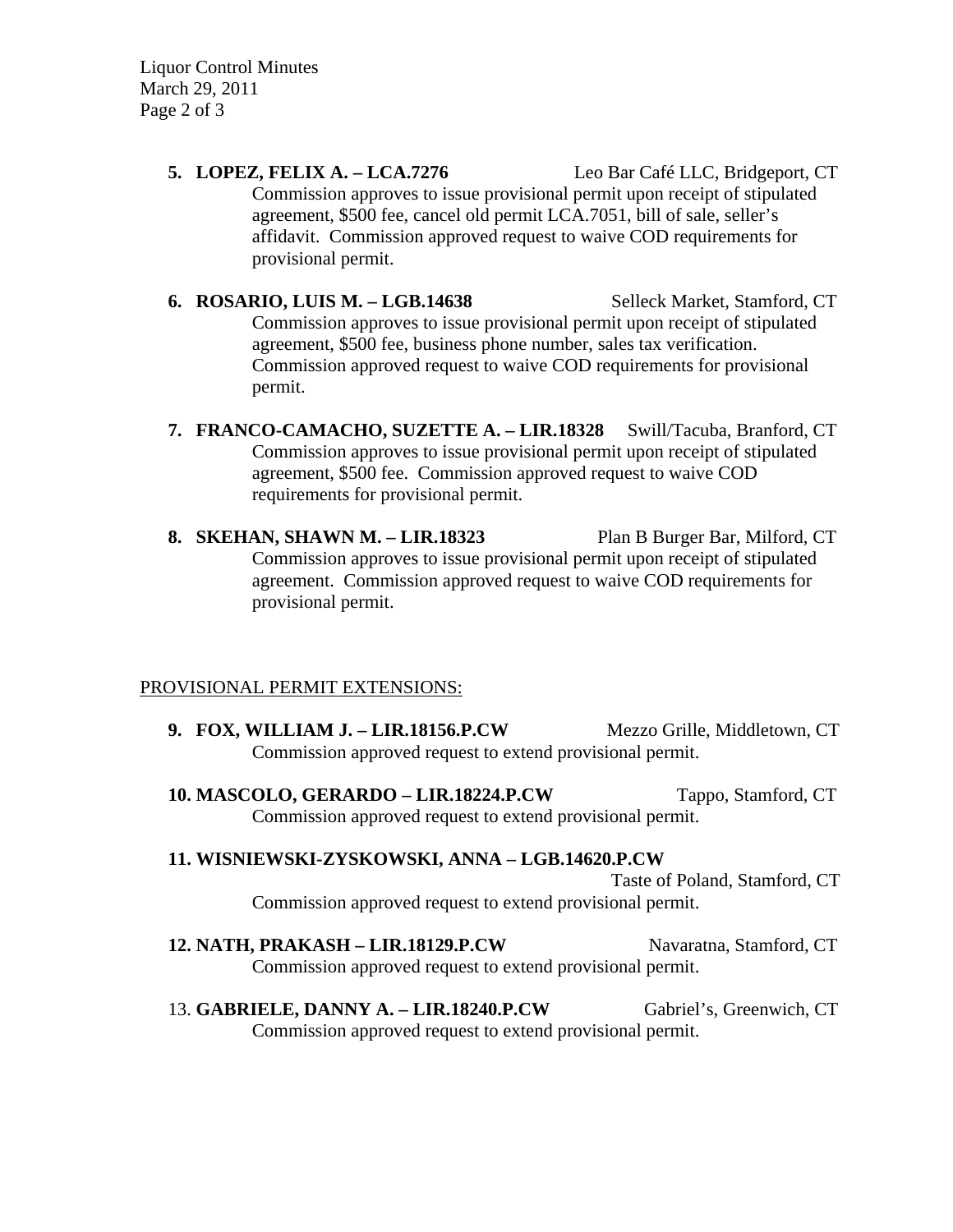Liquor Control Minutes March 29, 2011 Page 2 of 3

- **5. LOPEZ, FELIX A. LCA.7276** Leo Bar Café LLC, Bridgeport, CT Commission approves to issue provisional permit upon receipt of stipulated agreement, \$500 fee, cancel old permit LCA.7051, bill of sale, seller's affidavit. Commission approved request to waive COD requirements for provisional permit.
- **6. ROSARIO, LUIS M. LGB.14638** Selleck Market, Stamford, CT Commission approves to issue provisional permit upon receipt of stipulated agreement, \$500 fee, business phone number, sales tax verification. Commission approved request to waive COD requirements for provisional permit.
- **7. FRANCO-CAMACHO, SUZETTE A. LIR.18328** Swill/Tacuba, Branford, CT Commission approves to issue provisional permit upon receipt of stipulated agreement, \$500 fee. Commission approved request to waive COD requirements for provisional permit.
- **8. SKEHAN, SHAWN M. LIR.18323** Plan B Burger Bar, Milford, CT Commission approves to issue provisional permit upon receipt of stipulated agreement. Commission approved request to waive COD requirements for provisional permit.

# PROVISIONAL PERMIT EXTENSIONS:

- **9. FOX, WILLIAM J. LIR.18156.P.CW Mezzo Grille, Middletown, CT** Commission approved request to extend provisional permit.
- **10. MASCOLO, GERARDO LIR.18224.P.CW** Tappo, Stamford, CT Commission approved request to extend provisional permit.
- **11. WISNIEWSKI-ZYSKOWSKI, ANNA LGB.14620.P.CW**

Taste of Poland, Stamford, CT Commission approved request to extend provisional permit.

- **12. NATH, PRAKASH LIR.18129.P.CW** Navaratna, Stamford, CT Commission approved request to extend provisional permit.
- 13. **GABRIELE, DANNY A. LIR.18240.P.CW** Gabriel's, Greenwich, CT Commission approved request to extend provisional permit.